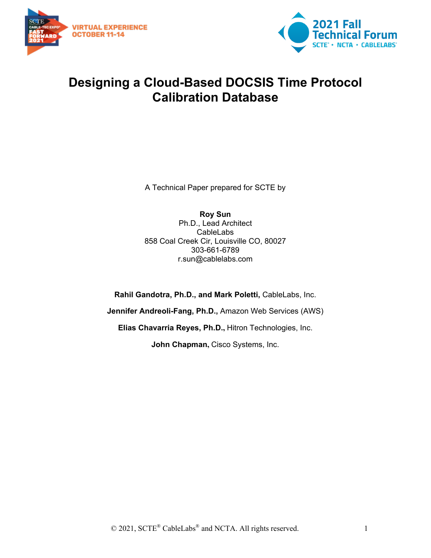



## **Designing a Cloud-Based DOCSIS Time Protocol Calibration Database**

A Technical Paper prepared for SCTE by

**Roy Sun** Ph.D., Lead Architect CableLabs 858 Coal Creek Cir, Louisville CO, 80027 303-661-6789 r.sun@cablelabs.com

**Rahil Gandotra, Ph.D., and Mark Poletti,** CableLabs, Inc. **Jennifer Andreoli-Fang, Ph.D.,** Amazon Web Services (AWS) **Elias Chavarria Reyes, Ph.D.,** Hitron Technologies, Inc. **John Chapman,** Cisco Systems, Inc.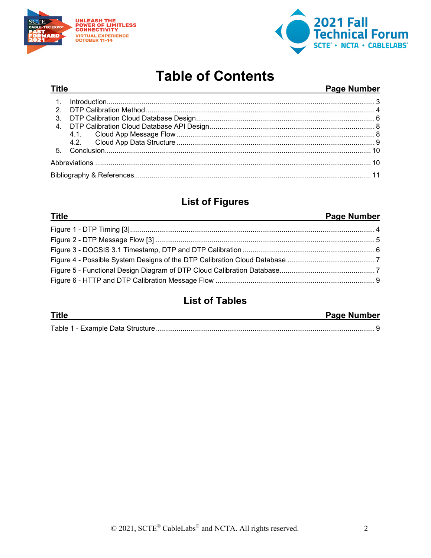

**Title** 



## **Table of Contents**

#### Page Number

## **List of Figures**

| <b>Title</b><br><u> 1989 - Johann Stoff, amerikansk politiker (* 1908)</u> | <b>Page Number</b> |
|----------------------------------------------------------------------------|--------------------|
|                                                                            |                    |
|                                                                            |                    |
|                                                                            |                    |
|                                                                            |                    |
|                                                                            |                    |
|                                                                            |                    |

### **List of Tables**

| <b>Title</b> | <b>Page Number</b> |  |
|--------------|--------------------|--|
|              |                    |  |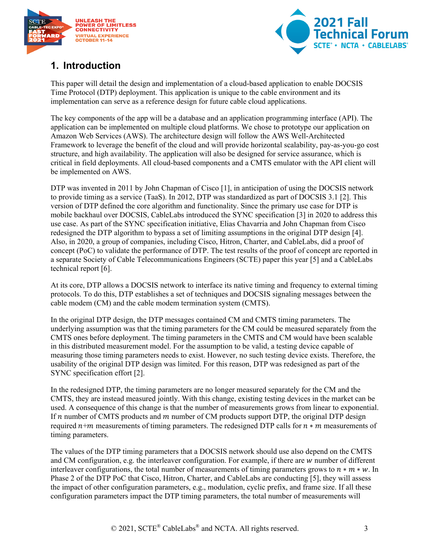



### <span id="page-2-0"></span>**1. Introduction**

This paper will detail the design and implementation of a cloud-based application to enable DOCSIS Time Protocol (DTP) deployment. This application is unique to the cable environment and its implementation can serve as a reference design for future cable cloud applications.

The key components of the app will be a database and an application programming interface (API). The application can be implemented on multiple cloud platforms. We chose to prototype our application on Amazon Web Services (AWS). The architecture design will follow the AWS Well-Architected Framework to leverage the benefit of the cloud and will provide horizontal scalability, pay-as-you-go cost structure, and high availability. The application will also be designed for service assurance, which is critical in field deployments. All cloud-based components and a CMTS emulator with the API client will be implemented on AWS.

DTP was invented in 2011 by John Chapman of Cisco [\[1\],](#page-10-1) in anticipation of using the DOCSIS network to provide timing as a service (TaaS). In 2012, DTP was standardized as part of DOCSIS 3.1 [\[2\].](#page-10-2) This version of DTP defined the core algorithm and functionality. Since the primary use case for DTP is mobile backhaul over DOCSIS, CableLabs introduced the SYNC specification [\[3\]](#page-10-3) in 2020 to address this use case. As part of the SYNC specification initiative, Elias Chavarria and John Chapman from Cisco redesigned the DTP algorithm to bypass a set of limiting assumptions in the original DTP design [\[4\].](#page-10-4) Also, in 2020, a group of companies, including Cisco, Hitron, Charter, and CableLabs, did a proof of concept (PoC) to validate the performance of DTP. The test results of the proof of concept are reported in a separate Society of Cable Telecommunications Engineers (SCTE) paper this year [\[5\]](#page-10-5) and a CableLabs technical report [\[6\].](#page-10-6)

At its core, DTP allows a DOCSIS network to interface its native timing and frequency to external timing protocols. To do this, DTP establishes a set of techniques and DOCSIS signaling messages between the cable modem (CM) and the cable modem termination system (CMTS).

In the original DTP design, the DTP messages contained CM and CMTS timing parameters. The underlying assumption was that the timing parameters for the CM could be measured separately from the CMTS ones before deployment. The timing parameters in the CMTS and CM would have been scalable in this distributed measurement model. For the assumption to be valid, a testing device capable of measuring those timing parameters needs to exist. However, no such testing device exists. Therefore, the usability of the original DTP design was limited. For this reason, DTP was redesigned as part of the SYNC specification effort [\[2\].](#page-10-2)

In the redesigned DTP, the timing parameters are no longer measured separately for the CM and the CMTS, they are instead measured jointly. With this change, existing testing devices in the market can be used. A consequence of this change is that the number of measurements grows from linear to exponential. If  $n$  number of CMTS products and  $m$  number of CM products support DTP, the original DTP design required  $n+m$  measurements of timing parameters. The redesigned DTP calls for  $n * m$  measurements of timing parameters.

The values of the DTP timing parameters that a DOCSIS network should use also depend on the CMTS and CM configuration, e.g. the interleaver configuration. For example, if there are  $w$  number of different interleaver configurations, the total number of measurements of timing parameters grows to  $n * m * w$ . In Phase 2 of the DTP PoC that Cisco, Hitron, Charter, and CableLabs are conducting [\[5\],](#page-10-5) they will assess the impact of other configuration parameters, e.g., modulation, cyclic prefix, and frame size. If all these configuration parameters impact the DTP timing parameters, the total number of measurements will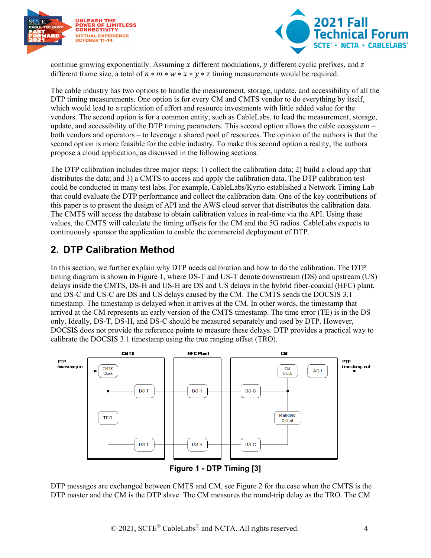



continue growing exponentially. Assuming x different modulations,  $\nu$  different cyclic prefixes, and z different frame size, a total of  $n * m * w * x * y * z$  timing measurements would be required.

The cable industry has two options to handle the measurement, storage, update, and accessibility of all the DTP timing measurements. One option is for every CM and CMTS vendor to do everything by itself, which would lead to a replication of effort and resource investments with little added value for the vendors. The second option is for a common entity, such as CableLabs, to lead the measurement, storage, update, and accessibility of the DTP timing parameters. This second option allows the cable ecosystem – both vendors and operators – to leverage a shared pool of resources. The opinion of the authors is that the second option is more feasible for the cable industry. To make this second option a reality, the authors propose a cloud application, as discussed in the following sections.

The DTP calibration includes three major steps: 1) collect the calibration data; 2) build a cloud app that distributes the data; and 3) a CMTS to access and apply the calibration data. The DTP calibration test could be conducted in many test labs. For example, CableLabs/Kyrio established a Network Timing Lab that could evaluate the DTP performance and collect the calibration data. One of the key contributions of this paper is to present the design of API and the AWS cloud server that distributes the calibration data. The CMTS will access the database to obtain calibration values in real-time via the API. Using these values, the CMTS will calculate the timing offsets for the CM and the 5G radios. CableLabs expects to continuously sponsor the application to enable the commercial deployment of DTP.

#### <span id="page-3-0"></span>**2. DTP Calibration Method**

In this section, we further explain why DTP needs calibration and how to do the calibration. The DTP timing diagram is shown in [Figure 1,](#page-3-1) where DS-T and US-T denote downstream (DS) and upstream (US) delays inside the CMTS, DS-H and US-H are DS and US delays in the hybrid fiber-coaxial (HFC) plant, and DS-C and US-C are DS and US delays caused by the CM. The CMTS sends the DOCSIS 3.1 timestamp. The timestamp is delayed when it arrives at the CM. In other words, the timestamp that arrived at the CM represents an early version of the CMTS timestamp. The time error (TE) is in the DS only. Ideally, DS-T, DS-H, and DS-C should be measured separately and used by DTP. However, DOCSIS does not provide the reference points to measure these delays. DTP provides a practical way to calibrate the DOCSIS 3.1 timestamp using the true ranging offset (TRO).



**Figure 1 - DTP Timing [\[3\]](#page-10-3)**

<span id="page-3-1"></span>DTP messages are exchanged between CMTS and CM, see [Figure 2](#page-4-0) for the case when the CMTS is the DTP master and the CM is the DTP slave. The CM measures the round-trip delay as the TRO. The CM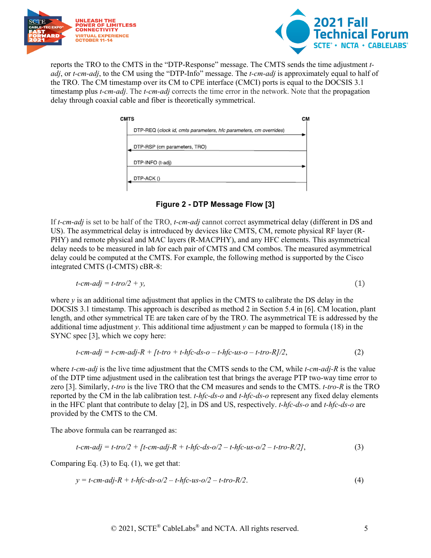



reports the TRO to the CMTS in the "DTP-Response" message. The CMTS sends the time adjustment *tadj*, or *t-cm-adj*, to the CM using the "DTP-Info" message. The *t-cm-adj* is approximately equal to half of the TRO. The CM timestamp over its CM to CPE interface (CMCI) ports is equal to the DOCSIS 3.1 timestamp plus *t-cm-adj*. The *t-cm-adj* corrects the time error in the network. Note that the propagation delay through coaxial cable and fiber is theoretically symmetrical.

| CMTS                                                              | см |
|-------------------------------------------------------------------|----|
| DTP-REQ (clock id, cmts parameters, hic parameters, cm overrides) |    |
| DTP-RSP (cm parameters, TRO)                                      |    |
| DTP-INFO (t-adj)                                                  |    |
| DTP-ACK ()                                                        |    |

**Figure 2 - DTP Message Flow [\[3\]](#page-10-3)**

<span id="page-4-0"></span>If *t-cm-adj* is set to be half of the TRO, *t-cm-adj* cannot correct asymmetrical delay (different in DS and US). The asymmetrical delay is introduced by devices like CMTS, CM, remote physical RF layer (R-PHY) and remote physical and MAC layers (R-MACPHY), and any HFC elements. This asymmetrical delay needs to be measured in lab for each pair of CMTS and CM combos. The measured asymmetrical delay could be computed at the CMTS. For example, the following method is supported by the Cisco integrated CMTS (I-CMTS) cBR-8:

$$
t\text{-}cm\text{-}adj = t\text{-}tro/2 + y,\tag{1}
$$

where  $\gamma$  is an additional time adjustment that applies in the CMTS to calibrate the DS delay in the DOCSIS 3.1 timestamp. This approach is described as method 2 in Section 5.4 in [\[6\].](#page-10-6) CM location, plant length, and other symmetrical TE are taken care of by the TRO. The asymmetrical TE is addressed by the additional time adjustment *y*. This additional time adjustment *y* can be mapped to formula (18) in the SYNC spec [\[3\],](#page-10-3) which we copy here:

$$
t\text{-}cm\text{-}adj = t\text{-}cm\text{-}adj\text{-}R + [t\text{-}tro + t\text{-}hf\text{-}ds\text{-}o - t\text{-}hf\text{-}us\text{-}o - t\text{-}tro\text{-}R]/2, \tag{2}
$$

where *t-cm-adj* is the live time adjustment that the CMTS sends to the CM, while *t-cm-adj-R* is the value of the DTP time adjustment used in the calibration test that brings the average PTP two-way time error to zero [\[3\].](#page-10-3) Similarly, *t-tro* is the live TRO that the CM measures and sends to the CMTS. *t-tro-R* is the TRO reported by the CM in the lab calibration test. *t-hfc-ds-o* and *t-hfc-ds-o* represent any fixed delay elements in the HFC plant that contribute to delay [\[2\],](#page-10-2) in DS and US, respectively. *t-hfc-ds-o* and *t-hfc-ds-o* are provided by the CMTS to the CM.

The above formula can be rearranged as:

$$
t-cm-adj = t-tro/2 + [t-cm-adj-R + t-hfc-ds-o/2 - t-hfc-us-o/2 - t-tro-R/2],
$$
\n(3)

Comparing Eq.  $(3)$  to Eq.  $(1)$ , we get that:

$$
y = t-cm-adj-R + t-hfc-ds-o/2 - t-hfc-us-o/2 - t-tro-R/2.
$$
\n(4)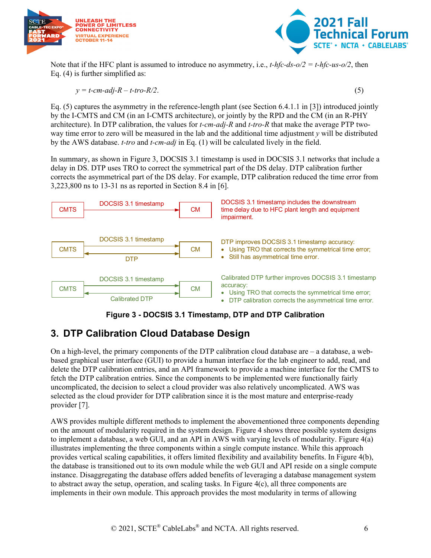



Note that if the HFC plant is assumed to introduce no asymmetry, i.e., *t-hfc-ds-o/2 = t-hfc-us-o/2*, then Eq. (4) is further simplified as:

$$
y = t-cm-adj-R - t-tro-R/2.
$$
\n<sup>(5)</sup>

Eq. (5) captures the asymmetry in the reference-length plant (see Section 6.4.1.1 in [\[3\]\)](#page-10-3) introduced jointly by the I-CMTS and CM (in an I-CMTS architecture), or jointly by the RPD and the CM (in an R-PHY architecture). In DTP calibration, the values for *t-cm-adj-R* and *t-tro-R* that make the average PTP twoway time error to zero will be measured in the lab and the additional time adjustment *y* will be distributed by the AWS database. *t-tro* and *t-cm-adj* in Eq. (1) will be calculated lively in the field.

In summary, as shown in [Figure 3,](#page-5-1) DOCSIS 3.1 timestamp is used in DOCSIS 3.1 networks that include a delay in DS. DTP uses TRO to correct the symmetrical part of the DS delay. DTP calibration further corrects the asymmetrical part of the DS delay. For example, DTP calibration reduced the time error from 3,223,800 ns to 13-31 ns as reported in Section 8.4 in [\[6\].](#page-10-6)



#### **Figure 3 - DOCSIS 3.1 Timestamp, DTP and DTP Calibration**

#### <span id="page-5-1"></span><span id="page-5-0"></span>**3. DTP Calibration Cloud Database Design**

On a high-level, the primary components of the DTP calibration cloud database are  $-$  a database, a webbased graphical user interface (GUI) to provide a human interface for the lab engineer to add, read, and delete the DTP calibration entries, and an API framework to provide a machine interface for the CMTS to fetch the DTP calibration entries. Since the components to be implemented were functionally fairly uncomplicated, the decision to select a cloud provider was also relatively uncomplicated. AWS was selected as the cloud provider for DTP calibration since it is the most mature and enterprise-ready provider [\[7\].](#page-10-7)

AWS provides multiple different methods to implement the abovementioned three components depending on the amount of modularity required in the system design. [Figure 4](#page-6-0) shows three possible system designs to implement a database, a web GUI, and an API in AWS with varying levels of modularity. [Figure 4\(](#page-6-0)a) illustrates implementing the three components within a single compute instance. While this approach provides vertical scaling capabilities, it offers limited flexibility and availability benefits. In [Figure 4\(](#page-6-0)b), the database is transitioned out to its own module while the web GUI and API reside on a single compute instance. Disaggregating the database offers added benefits of leveraging a database management system to abstract away the setup, operation, and scaling tasks. In [Figure 4\(](#page-6-0)c), all three components are implements in their own module. This approach provides the most modularity in terms of allowing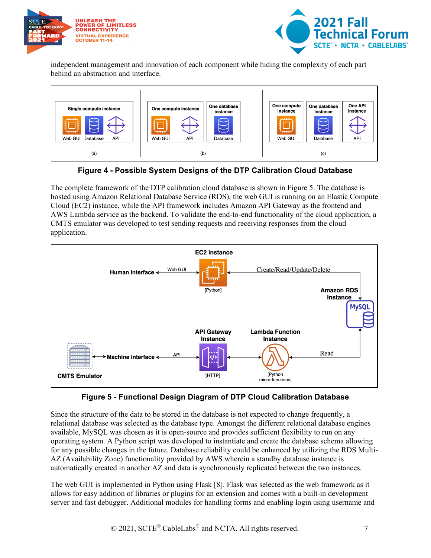



independent management and innovation of each component while hiding the complexity of each part behind an abstraction and interface.



**Figure 4 - Possible System Designs of the DTP Calibration Cloud Database**

<span id="page-6-0"></span>The complete framework of the DTP calibration cloud database is shown in [Figure 5.](#page-6-1) The database is hosted using Amazon Relational Database Service (RDS), the web GUI is running on an Elastic Compute Cloud (EC2) instance, while the API framework includes Amazon API Gateway as the frontend and AWS Lambda service as the backend. To validate the end-to-end functionality of the cloud application, a CMTS emulator was developed to test sending requests and receiving responses from the cloud application.



**Figure 5 - Functional Design Diagram of DTP Cloud Calibration Database**

<span id="page-6-1"></span>Since the structure of the data to be stored in the database is not expected to change frequently, a relational database was selected as the database type. Amongst the different relational database engines available, MySQL was chosen as it is open-source and provides sufficient flexibility to run on any operating system. A Python script was developed to instantiate and create the database schema allowing for any possible changes in the future. Database reliability could be enhanced by utilizing the RDS Multi-AZ (Availability Zone) functionality provided by AWS wherein a standby database instance is automatically created in another AZ and data is synchronously replicated between the two instances.

The web GUI is implemented in Python using Flask [\[8\].](#page-10-8) Flask was selected as the web framework as it allows for easy addition of libraries or plugins for an extension and comes with a built-in development server and fast debugger. Additional modules for handling forms and enabling login using username and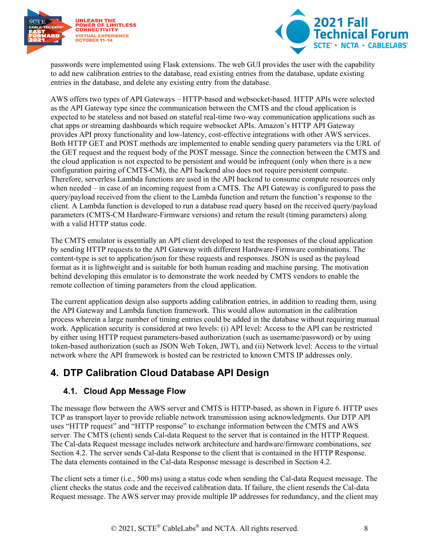



passwords were implemented using Flask extensions. The web GUI provides the user with the capability to add new calibration entries to the database, read existing entries from the database, update existing entries in the database, and delete any existing entry from the database.

AWS offers two types of API Gateways – HTTP-based and websocket-based. HTTP APIs were selected as the API Gateway type since the communication between the CMTS and the cloud application is expected to be stateless and not based on stateful real-time two-way communication applications such as chat apps or streaming dashboards which require websocket APIs. Amazon's HTTP API Gateway provides API proxy functionality and low-latency, cost-effective integrations with other AWS services. Both HTTP GET and POST methods are implemented to enable sending query parameters via the URL of the GET request and the request body of the POST message. Since the connection between the CMTS and the cloud application is not expected to be persistent and would be infrequent (only when there is a new configuration pairing of CMTS-CM), the API backend also does not require persistent compute. Therefore, serverless Lambda functions are used in the API backend to consume compute resources only when needed – in case of an incoming request from a CMTS. The API Gateway is configured to pass the query/payload received from the client to the Lambda function and return the function's response to the client. A Lambda function is developed to run a database read query based on the received query/payload parameters (CMTS-CM Hardware-Firmware versions) and return the result (timing parameters) along with a valid HTTP status code.

The CMTS emulator is essentially an API client developed to test the responses of the cloud application by sending HTTP requests to the API Gateway with different Hardware-Firmware combinations. The content-type is set to application/json for these requests and responses. JSON is used as the payload format as it is lightweight and is suitable for both human reading and machine parsing. The motivation behind developing this emulator is to demonstrate the work needed by CMTS vendors to enable the remote collection of timing parameters from the cloud application.

The current application design also supports adding calibration entries, in addition to reading them, using the API Gateway and Lambda function framework. This would allow automation in the calibration process wherein a large number of timing entries could be added in the database without requiring manual work. Application security is considered at two levels: (i) API level: Access to the API can be restricted by either using HTTP request parameters-based authorization (such as username/password) or by using token-based authorization (such as JSON Web Token, JWT), and (ii) Network level: Access to the virtual network where the API framework is hosted can be restricted to known CMTS IP addresses only.

#### <span id="page-7-0"></span>**4. DTP Calibration Cloud Database API Design**

#### <span id="page-7-1"></span>**4.1. Cloud App Message Flow**

The message flow between the AWS server and CMTS is HTTP-based, as shown in [Figure 6.](#page-8-1) HTTP uses TCP as transport layer to provide reliable network transmission using acknowledgments. Our DTP API uses "HTTP request" and "HTTP response" to exchange information between the CMTS and AWS server. The CMTS (client) sends Cal-data Request to the server that is contained in the HTTP Request. The Cal-data Request message includes network architecture and hardware/firmware combinations, see Section [4.2.](#page-8-0) The server sends Cal-data Response to the client that is contained in the HTTP Response. The data elements contained in the Cal-data Response message is described in Section [4.2.](#page-8-0)

The client sets a timer (i.e., 500 ms) using a status code when sending the Cal-data Request message. The client checks the status code and the received calibration data. If failure, the client resends the Cal-data Request message. The AWS server may provide multiple IP addresses for redundancy, and the client may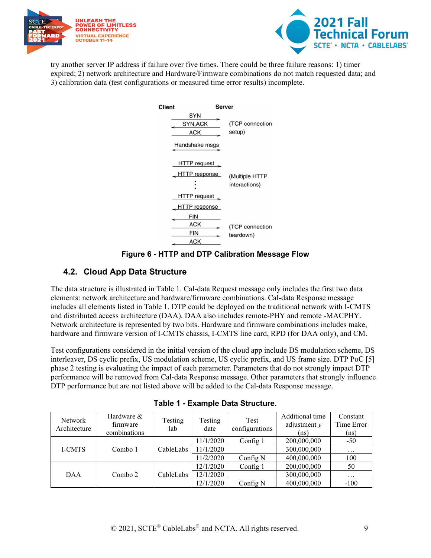



try another server IP address if failure over five times. There could be three failure reasons: 1) timer expired; 2) network architecture and Hardware/Firmware combinations do not match requested data; and 3) calibration data (test configurations or measured time error results) incomplete.

| Client | Server                                                  |                                 |  |
|--------|---------------------------------------------------------|---------------------------------|--|
|        | SYN<br>SYN, ACK<br><b>ACK</b><br>Handshake msgs         | (TCP connection<br>setup)       |  |
|        | HTTP request<br><b>HTTP</b> response<br>HTTP request    | (Multiple HTTP<br>interactions) |  |
|        | <b>HTTP</b> response<br>FIN<br>ACK<br><b>FIN</b><br>ACK | (TCP connection<br>teardown)    |  |

**Figure 6 - HTTP and DTP Calibration Message Flow**

#### <span id="page-8-1"></span><span id="page-8-0"></span>**4.2. Cloud App Data Structure**

The data structure is illustrated in [Table 1.](#page-8-2) Cal-data Request message only includes the first two data elements: network architecture and hardware/firmware combinations. Cal-data Response message includes all elements listed in [Table 1.](#page-8-2) DTP could be deployed on the traditional network with I-CMTS and distributed access architecture (DAA). DAA also includes remote-PHY and remote -MACPHY. Network architecture is represented by two bits. Hardware and firmware combinations includes make, hardware and firmware version of I-CMTS chassis, I-CMTS line card, RPD (for DAA only), and CM.

Test configurations considered in the initial version of the cloud app include DS modulation scheme, DS interleaver, DS cyclic prefix, US modulation scheme, US cyclic prefix, and US frame size. DTP PoC [\[5\]](#page-10-5) phase 2 testing is evaluating the impact of each parameter. Parameters that do not strongly impact DTP performance will be removed from Cal-data Response message. Other parameters that strongly influence DTP performance but are not listed above will be added to the Cal-data Response message.

<span id="page-8-2"></span>

| <b>Network</b><br>Architecture | Hardware &<br>firmware<br>combinations | Testing<br>lab | Testing<br>date | Test<br>configurations | Additional time<br>adjustment $y$<br>(ns) | Constant<br>Time Error<br>(ns) |
|--------------------------------|----------------------------------------|----------------|-----------------|------------------------|-------------------------------------------|--------------------------------|
|                                | Combo 1                                | CableLabs      | 11/1/2020       | Config 1               | 200,000,000                               | $-50$                          |
| <b>I-CMTS</b>                  |                                        |                | 11/1/2020       |                        | 300,000,000                               | $\cdots$                       |
|                                |                                        |                | 11/2/2020       | Config N               | 400,000,000                               | 100                            |
|                                | Combo 2                                |                | 12/1/2020       | Config 1               | 200,000,000                               | 50                             |
| DAA                            |                                        | CableLabs      | 12/1/2020       |                        | 300,000,000                               | $\cdots$                       |
|                                |                                        |                | 12/1/2020       | Config N               | 400,000,000                               | $-100$                         |

**Table 1 - Example Data Structure.**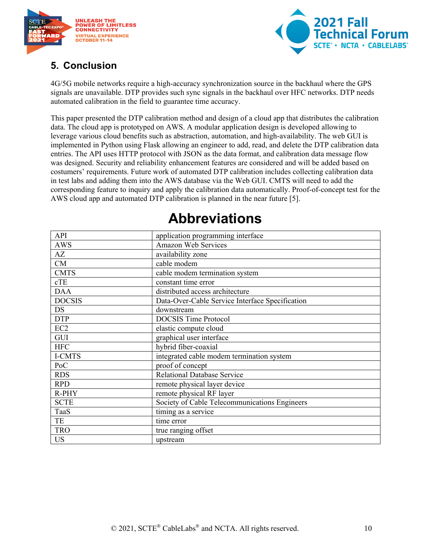



### <span id="page-9-0"></span>**5. Conclusion**

4G/5G mobile networks require a high-accuracy synchronization source in the backhaul where the GPS signals are unavailable. DTP provides such sync signals in the backhaul over HFC networks. DTP needs automated calibration in the field to guarantee time accuracy.

This paper presented the DTP calibration method and design of a cloud app that distributes the calibration data. The cloud app is prototyped on AWS. A modular application design is developed allowing to leverage various cloud benefits such as abstraction, automation, and high-availability. The web GUI is implemented in Python using Flask allowing an engineer to add, read, and delete the DTP calibration data entries. The API uses HTTP protocol with JSON as the data format, and calibration data message flow was designed. Security and reliability enhancement features are considered and will be added based on costumers' requirements. Future work of automated DTP calibration includes collecting calibration data in test labs and adding them into the AWS database via the Web GUI. CMTS will need to add the corresponding feature to inquiry and apply the calibration data automatically. Proof-of-concept test for the AWS cloud app and automated DTP calibration is planned in the near future [\[5\].](#page-10-5)

<span id="page-9-1"></span>

| API             | application programming interface               |
|-----------------|-------------------------------------------------|
| <b>AWS</b>      | Amazon Web Services                             |
| AZ              | availability zone                               |
| CM              | cable modem                                     |
| <b>CMTS</b>     | cable modem termination system                  |
| cTE             | constant time error                             |
| <b>DAA</b>      | distributed access architecture                 |
| <b>DOCSIS</b>   | Data-Over-Cable Service Interface Specification |
| <b>DS</b>       | downstream                                      |
| <b>DTP</b>      | <b>DOCSIS Time Protocol</b>                     |
| EC <sub>2</sub> | elastic compute cloud                           |
| GUI             | graphical user interface                        |
| <b>HFC</b>      | hybrid fiber-coaxial                            |
| I-CMTS          | integrated cable modem termination system       |
| PoC             | proof of concept                                |
| <b>RDS</b>      | Relational Database Service                     |
| <b>RPD</b>      | remote physical layer device                    |
| R-PHY           | remote physical RF layer                        |
| <b>SCTE</b>     | Society of Cable Telecommunications Engineers   |
| TaaS            | timing as a service                             |
| TE              | time error                                      |
| <b>TRO</b>      | true ranging offset                             |
| <b>US</b>       | upstream                                        |

# **Abbreviations**